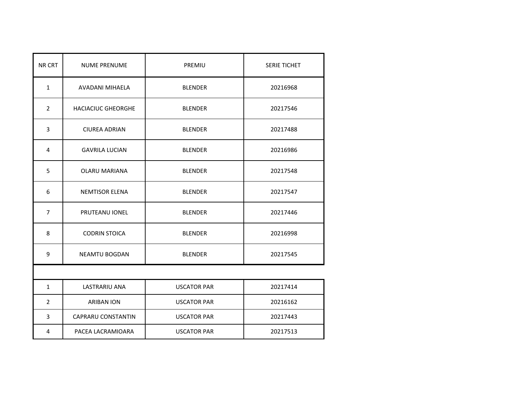| NR CRT         | <b>NUME PRENUME</b>       | PREMIU             | <b>SERIE TICHET</b> |  |
|----------------|---------------------------|--------------------|---------------------|--|
| $\mathbf{1}$   | AVADANI MIHAELA           | <b>BLENDER</b>     | 20216968            |  |
| $\overline{2}$ | <b>HACIACIUC GHEORGHE</b> | <b>BLENDER</b>     | 20217546            |  |
| 3              | <b>CIUREA ADRIAN</b>      | <b>BLENDER</b>     | 20217488            |  |
| $\overline{4}$ | <b>GAVRILA LUCIAN</b>     | <b>BLENDER</b>     | 20216986            |  |
| 5              | <b>OLARU MARIANA</b>      | <b>BLENDER</b>     | 20217548            |  |
| 6              | <b>NEMTISOR ELENA</b>     | <b>BLENDER</b>     | 20217547            |  |
| $\overline{7}$ | PRUTEANU IONEL            | <b>BLENDER</b>     | 20217446            |  |
| 8              | <b>CODRIN STOICA</b>      | <b>BLENDER</b>     | 20216998            |  |
| 9              | <b>NEAMTU BOGDAN</b>      | <b>BLENDER</b>     | 20217545            |  |
|                |                           |                    |                     |  |
| $\mathbf{1}$   | LASTRARIU ANA             | <b>USCATOR PAR</b> | 20217414            |  |
| $\overline{2}$ | <b>ARIBAN ION</b>         | <b>USCATOR PAR</b> | 20216162            |  |
| 3              | <b>CAPRARU CONSTANTIN</b> | <b>USCATOR PAR</b> | 20217443            |  |
| 4              | PACEA LACRAMIOARA         | <b>USCATOR PAR</b> | 20217513            |  |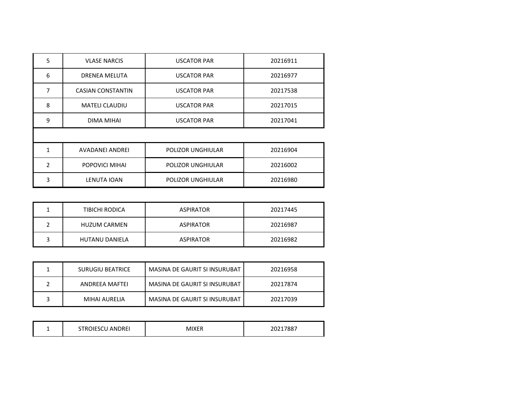| 5              | <b>VLASE NARCIS</b>      | <b>USCATOR PAR</b> | 20216911 |  |
|----------------|--------------------------|--------------------|----------|--|
| 6              | DRENEA MELUTA            | <b>USCATOR PAR</b> | 20216977 |  |
| 7              | <b>CASIAN CONSTANTIN</b> | <b>USCATOR PAR</b> | 20217538 |  |
| 8              | <b>MATELI CLAUDIU</b>    | <b>USCATOR PAR</b> | 20217015 |  |
| 9              | DIMA MIHAI               | <b>USCATOR PAR</b> | 20217041 |  |
|                |                          |                    |          |  |
| 1              | <b>AVADANEI ANDREI</b>   | POLIZOR UNGHIULAR  | 20216904 |  |
| $\mathfrak{p}$ | POPOVICI MIHAI           | POLIZOR UNGHIULAR  | 20216002 |  |
| 3              | LENUTA IOAN              | POLIZOR UNGHIULAR  | 20216980 |  |

| TIBICHI RODICA        | <b>ASPIRATOR</b> | 20217445 |
|-----------------------|------------------|----------|
| <b>HUZUM CARMEN</b>   | <b>ASPIRATOR</b> | 20216987 |
| <b>HUTANU DANIELA</b> | <b>ASPIRATOR</b> | 20216982 |

| SURUGIU BEATRICE | MASINA DE GAURIT SI INSURUBAT | 20216958 |
|------------------|-------------------------------|----------|
| ANDREFA MAFTEI   | MASINA DE GAURIT SI INSURUBAT | 20217874 |
| MIHAI AURELIA    | MASINA DE GAURIT SI INSURUBAT | 20217039 |

| IVII.<br>$11F \setminus 0$<br>7.XF<br>- |  | <b>STROIFSCLL</b><br><b>ANDREI</b> | AIVED | 20217887 |
|-----------------------------------------|--|------------------------------------|-------|----------|
|-----------------------------------------|--|------------------------------------|-------|----------|